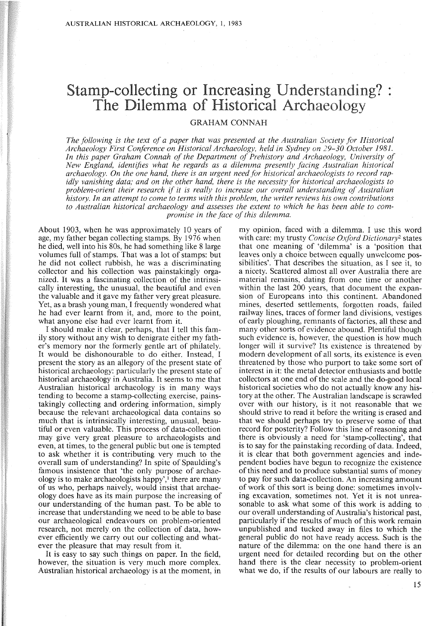# Stamp-collecting or Increasing Understanding? . The Dilemma of Historical Archaeology

### GRAHAM CONNAH

*The following* is *the text of a paper that was presented at the Australian Society for Historical Archaeology First Conference on Historical Archaeology, held in Sydney on 29-30 October 1981. In this paper Graham Connah of the Department of Prehistory and Archaeology, University of New England, identifies what he regards as a dilemma presently facing Australian historical archaeology. On the one hand, there* is *an urgent need for historical archaeologists to record rapidly vanishing data; and on the other hand, there* is *the necessity for historical archaeologists to problem-orient their research if it* is *really to increase our overall understanding of Australian history. In an attempt to come to terms with this problem, the writer reviews his own contributions to Australian historical archaeology and assesses the extent to which he has been able to compromise in the face of this dilemma.* 

About 1903, when he was approximately 10 years of age, my father began collecting stamps. By 1976 when he died, well into his 80s, he had something like 8 large volumes full of stamps. That was a lot of stamps: but he did not collect rubbish, he was a discriminating collector and his collection was painstakingly organized. It was a fascinating collection of the intrinsically interesting, the unusual, the beautiful and even the valuable and it gave my father very great pleasure. Yet, as a brash young man, I frequently wondered what he had ever learnt from it, and, more to the point, what anyone else had ever learnt from it.

I should make it clear, perhaps, that I tell this family story without any wish to denigrate either my father's memory nor the formerly gentle art of philately. It would be dishonourable to do either. Instead, I present the story as an allegory of the present state of historical archaeology: particularly the present state of historical archaeology in Australia. It seems to me that Australian historical archaeology is in many ways tending to become a stamp-collecting exercise, painstakingly collecting and ordering information, simply because the relevant archaeological data contains so much that is intrinsically interesting, unusual, beautiful or even valuable. This process of data-collection may give very great pleasure to archaeologists and even, at times, to the general public but one is tempted to ask whether it is contributing very much to the overall sum of understanding? In spite of Spaulding's famous insistence that 'the only purpose of archaeology is to make archaeologists happy', $\frac{1}{1}$  there are many of us who, perhaps naively, would insist that archaeology does have as its main purpose the increasing of our understanding of the human past. To be able to increase that understanding we need to be able to base our archaeological endeavours on problem-oriented research, not merely on the collection of data, however efficiently we carry out our collecting and whatever the pleasure that may result from it.

It is easy to say such things on paper. In the field, however, the situation is very much more complex. Australian historical archaeology is at the moment, in

my opinion, faced with a dilemma. I use this word with care: my trusty *Concise Oxford Dictionary?* states that one meaning of 'dilemma' is. a 'position that leaves only a choice between equally unwelcome possibilities'. That describes the situation, as I see it, to a nicety. Scattered almost all over Australia there are material remains, dating from one time or another within the last 200 years, that document the expansion of Europeans into this continent. Abandoned mines, deserted settlements, forgotten roads, failed railway lines, traces of former land divisions, vestiges of early ploughing, remnants of factories, all these and many other sorts of evidence abound. Plentiful though such evidence is, however, the question is how much longer will it survive? Its existence is threatened by modern development of all sorts, its existence is even threatened by those who purport to take some sort of interest in it: the metal detector enthusiasts and bottle collectors at one end of the scale and the do-good local historical societies who do not actually know any history at the other. The Australian landscape is scrawled over with our history, is it not reasonable that we should strive to read it before the writing is erased and that we should perhaps try to preserve some of that record for posterity? Follow this line of reasoning and there is obviously a need for 'stamp-collecting', that is to say for the painstaking recording of data. Indeed, it is clear that both government agencies and independent bodies have begun to recognize the existence of this need and to produce substantial sums of money to pay for such data-collection. An increasing amount of work of this sort is being done: sometimes involving excavation, sometimes not. Yet it is not unreasonable to ask what some of this work is adding to our overall understanding of Australia's historical past, particularly if the results of much of this work remain unpublished and tucked away in files to which the general public do not have ready access. Such is the nature of the dilemma: on the one hand there is an urgent need for detailed recording but on the other hand there is the clear necessity to problem-orient what we do, if the results of our labours are really to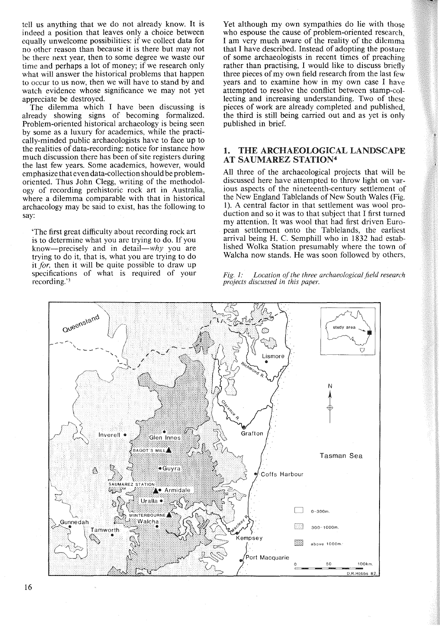tell us anything that we do not already know. It is indeed a position that leaves only a choice between equally unwelcome possibilities: if we collect data for no other reason than because it is there but may not be there next year, then to some degree we waste our time and perhaps a lot of money; if we research only what will answer the historical problems that happen to occur to us now, then we will have to stand by and watch evidence whose significance we may not yet appreciate be destroyed.

The dilemma which I have been discussing is already showing signs of becoming formalized. Problem-oriented historical archaeology is being seen by some as a luxury for academics, while the practically-minded public archaeologists have to face up to the realities of data-recording: notice for instance how much discussion there has been of site registers during the last few years. Some academics, however, would emphasize that even data-collection should be problemoriented. Thus John Clegg, writing of the methodology of recording prehistoric rock art in Australia, where a dilemma comparable with that in historical archaeology may be said to exist, has the following to say:

'The first great difficulty about recording rock art is to determine what you are trying to do. If you know-precisely and in detail- $why$  you are trying to do it, that is, what you are trying to do it *for*, then it will be quite possible to draw up specifications of what is required of your recording."

Yet although my own sympathies do lie with those who espouse the cause of problem-oriented research, I am very much aware of the reality of the dilemma that I have described. Instead of adopting the posture of some archaeologists in recent times of preaching rather than practising, I would like to discuss briefly three pieces of my own field research from the last few years and to examine how in my own case I have attempted to resolve the conflict between stamp-collecting and increasing understanding. Two of these pieces of work are already completed and published, the third is still being carried out and as yet is only published in brief.

#### 1. THE ARCHAEOLOGICAL LANDSCAPE AT SAUMAREZ STATION4

All three of the archaeological projects that will be discussed here have attempted to throw light on various aspects of the nineteenth-century settlement of the New England Tablelands of New South Wales (Fig. 1). A central factor in that settlement was wool production and so it was to that subject that I first turned my attention. It was wool that had first driven European settlement onto the Tablelands, the earliest arrival being H. C. Semphill who in 1832 had established Wolka Station presumably where the town of Walcha now stands. He was soon followed by others,



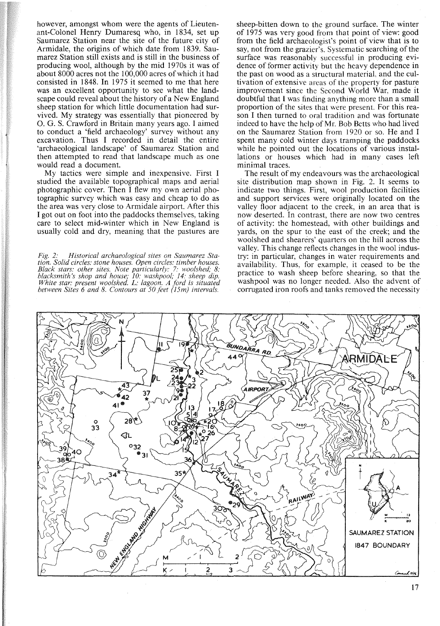however, amongst whom were the agents of Lieutenant-Colonel Henry Dumaresq who, in 1834, set up Saumarez Station near the site of the future city of Armidale, the origins of which date from 1839. Saumarez Station still exists and is still in the business of producing wool, although by the mid 1970s it was of about 8000 acres not the 100,000 acres of which it had consisted in 1848. **In** 1975 it seemed to me that here was an excellent opportunity to see what the landscape could reveal about the history of a New England sheep station for which little documentation had survived. My strategy was essentially that pioneered by O. G. S. Crawford in Britain many years ago. I aimed to conduct a 'field archaeology' survey without any excavation. Thus I recorded in detail the entire 'archaeological landscape' of Saumarez Station and then attempted to read that landscape much as one would read a document.

My tactics were simple and inexpensive. First I studied the available topographical maps and aerial photographic cover. Then I flew my own aerial photographic survey which was easy and cheap to do as the area was very close to Armidale airport. After this I got out on foot into the paddocks themselves, taking care to select mid-winter which in New England is usually cold and dry, meaning that the pastures are

*Fig.* 2: *Historical archaeological sites on Saumarez Sta* $t$ ion. Solid circles: stone houses. Open circles: timber houses. *Black stars: other sites. Note particularly:* 7: *woolshed; 8: blacksmith's shop and house; 10: washpool;* 14: *sheep dip. White star: present woolshed. L: lagoon. A ford is situated between Sites* 6 *and* 8. *Contours at 50 feet (iSm) intervals.*

sheep-bitten down to the ground surface. The winter of 1975 was very good from that point of view: good from the field archaeologist's point of view that is to say, not from the grazier's. Systematic searching of the surface was reasonably successful in producing evidence of former activity but the heavy dependence in the past on wood as a structural material, and the cultivation of extensive areas of the property for pasture improvement since the Second World War, made it doubtful that I was finding anything more than a small proportion of the sites that were present. For this reason I then turned to oral tradition and was fortunate indeed to have the help of Mr. Bob Betts who had lived on the Saumarez Station from 1920 or so. He and I spent many cold winter days tramping the paddocks while he pointed out the locations of various installations or houses which had in many cases left minimal traces.

The result of my endeavours was the archaeological site distribution map shown in Fig. 2. It seems to indicate two things. First, wool production facilities and support services were originally located on the valley floor adjacent to the creek, in an area that is now deserted. **In** contrast, there are now two centres of activity: the homestead, with other buildings and yards, on the spur to the east of the creek; and the woolshed and shearers' quarters on the **hill** across the valley. This change reflects changes in the wool industry: in particular, changes in water requirements and availability. Thus, for example, it ceased to be the practice to wash sheep before shearing, so that the washpool was no longer needed. Also the advent of corrugated iron roofs and tanks removed the necessity



17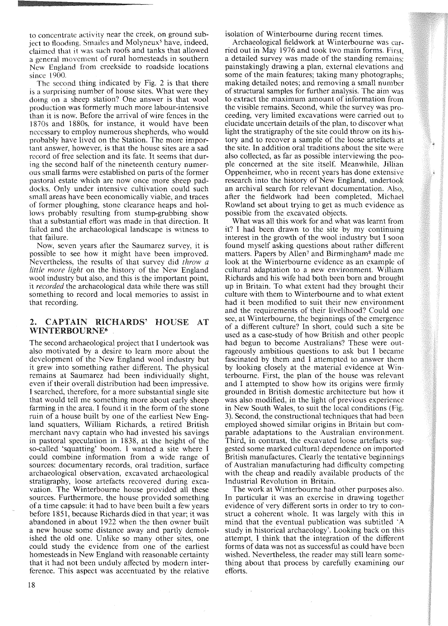to concentrate activity near the creek, on ground subject to flooding. Smailes and Molyneux<sup>5</sup> have, indeed, claimed that it was such roofs and tanks that allowed a general movement of rural homesteads in southern New England from creekside to roadside locations since 1900.

The second thing indicated by Fig. 2 is that there is a surprising number of house sites. What were they doing on a sheep station? One answer is that wool production was formerly much more labour-intensive than it is now. Before the arrival of wire fences in the 1870s and 1880s, for instance, it would have been necessary to employ numerous shepherds, who would probably have lived on the Station. The more important answer, however, is that the house sites are a sad record of free selection and its fate. It seems that during the second half of the nineteenth century numerous small farms were established on parts of the former pastoral estate which are now once more sheep paddocks. Only under intensive cultivation could such small areas have been economically viable, and traces of former ploughing, stone clearance heaps and hollows probably resulting from stump-grubbing show that a substantial effort was made in that direction. It failed and the archaeological landscape is witness to that failure.

Now, seven years after the Saumarez survey, it is possible to see how it might have been improved. Nevertheless, the results of that survey did *throw a little more light* on the history of the New England wool industry but also, and this is the important point, it *recorded* the archaeological data while there was still something to record and local memories to assist in that recording.

#### 2. CAPTAIN RICHARDS' HOUSE AT WINTERBOURNE6

The second archaeological project that I undertook was also motivated by a desire to learn more about the development of the New England wool industry but it grew into something rather different. The physical remains at Saumarez had been individually slight, even if their overall distribution had been impressive. I searched, therefore, for a more substantial single site that would tell me something more about early sheep farming in the area. I found it in the form of the stone ruin of a house built by one of the earliest New England squatters, William Richards, a retired British merchant navy captain who had invested his savings in pastoral speculation in 1838, at the height of the so-called 'squatting' boom. I wanted a site where I could combine information from a wide range of sources: documentary records, oral tradition, surface archaeological observation, excavated archaeological stratigraphy, loose artefacts recovered during excavation. The Winterbourne house provided all these sources. Furthermore, the house provided something of a time capsule: it had to have been built a few years before 1851, because Richards died in that year; it was abandoned in about 1922 when the then owner built a new house some distance away and partly demolished the old one. Unlike so many other sites, one could study the evidence from one of the earliest homesteads in New England with reasonable certainty that it had not been unduly affected by modern interference. This aspect was accentuated by the relative

isolation of Winterbourne during recent times.

Archaeological fieldwork at Winterbourne was carried out in May 1976 and took two main forms. First, a detailed survey was made of the standing remains: painstakingly drawing a plan, external elevations and some of the main features; taking many photographs; making detailed notes; and removing a small number of structural samples for further analysis. The aim was to extract the maximum amount of information from the visible remains. Second, while the survey was proceeding, very limited excavations were carried out to elucidate uncertain details of the plan, to discover what light the stratigraphy of the site could throw on its history and to recover a sample of the loose artefacts at the site. In addition oral traditions about the site were also collected, as far as possible interviewing the people concerned at the site itself. Meanwhile, Jillian Oppenheimer, who in recent years has done extensive research into the history of New England, undertook an archival search for relevant documentation. Also, after the fieldwork had been completed, Michael Rowland set about trying to get as much evidence as possible from the excavated objects.

What was all this work for and what was learnt from it? I had been drawn to the site by my continuing interest in the growth of the wool industry but I soon found myself asking questions about rather different matters. Papers by Allen<sup>7</sup> and Birmingham<sup>8</sup> made me look at the Winterbourne evidence as an example of cultural adaptation to a new environment. William Richards and his wife had both been born and brought up in Britain. To what extent had they brought their culture with them to Winterbourne and to what extent had it been modified to suit their new environment and the requirements of their livelihood? Could one see, at Winterbourne, the beginnings of the emergence of a different culture? In short, could such a site be used as a case-study of how British and other people had begun to become Australians? These were outrageously ambitious questions to ask but I became fascinated by them and I attempted to answer them by looking closely at the material evidence at Winterbourne. First, the plan of the house was relevant and I attempted to show how its origins were firmly grounded in British domestic architecture but how it was also modified, in the light of previous experience in New South Wales, to suit the local conditions (Fig. 3). Second, the constructional techniques that had been employed showed similar origins in Britain but comparable adaptations to the Australian environment. Third, in contrast, the excavated loose artefacts suggested some marked cultural dependence on imported British manufactures. Clearly the tentative beginnings of Australian manufacturing had difficulty competing with the cheap and readily available products of the Industrial Revolution in Britain.

The work at Winterbourne had other purposes also. In particular it was an exercise in drawing together evidence of very different sorts in order to try to construct a coherent whole. It was largely with this in mind that the eventual publication was subtitled 'A study in historical archaeology'. Looking back on this attempt, I think that the integration of the different forms of data was not as successful as could have been wished. Nevertheless, the reader may still learn something about that process by carefully examining our efforts.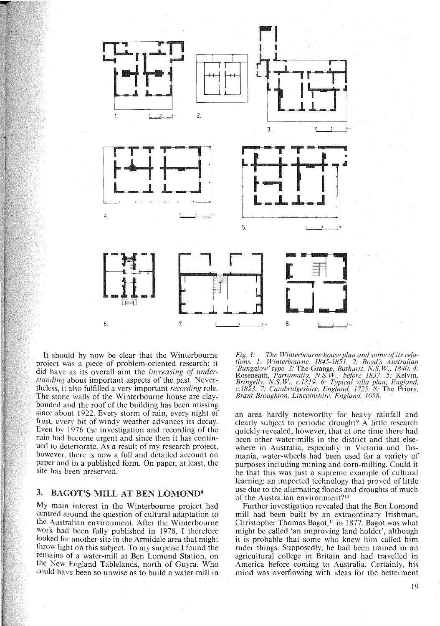

It should by now be clear that the Winterbourne project was a piece of problem-oriented research: it did have as its overall aim the *increasing of understanding* about important aspects of the past. Nevertheless, it also fulfilled a very important *recording* role. The stone walls of the Winterbourne house are claybonded and the roof of the building has been missing since about 1922. Every storm of rain, every night of frost, every bit of windy weather advances its decay. Even by 1976 the investigation and recording of the ruin had become urgent and since then it has continued to deteriorate. As a result of my research project, however, there is now a full and detailed account on paper and in a published form. On paper, at least, the site has been preserved.

## 3. BACOT'S MILL AT BEN LOMOND9

My main interest in the Winterbourne project had centred around the question of cultural adaptation to the Australian environment. After the Winterbourne work had been fully published in 1978, I therefore looked for another site in the Armidale area that might throw light on this subject. To my surprise I found the remains of a water-mill at Ben Lomond Station, on the New England Tablelands, north of Guyra. Who could have been so unwise as to build a water-mill in *Fig.* 3: The Winterbourne house plan and some of its rela*tions.* 1: *Winterbourne,* 1845-1851. 2: *Boyd's Australian* 'Bungalow'Type. 3: The Grange, *Bathurst, NS W, 1840. 4:* Roseneath, *Parramatta, NS W, before* 1837. 5: Kelvin, *Bringelly, NS W, c.1819.* 6: *Typical villa plan, England, c.1823.* 7: *Cambridgeshire, England,* 1725. 8: The Priory, *Brant Broughton, Lincolnshire, England, 1658.*

an area hardly noteworthy for heavy rainfall and clearly subject to periodic drought? A little research quickly revealed, however, that at one time there had been other water-mills in the district and that elsewhere in Australia, especially in Victoria and Tasmania, water-wheels had been used for a variety of purposes including mining and corn-milling. Could it be that this was just a supreme example of cultural learning: an imported technology that proved of little use due to the alternating floods and droughts of much of the Australian environment?<sup>10</sup>

Further investigation revealed that the Ben Lomond mill had been built by an extraordinary Irishman, Christopher Thomas Bagot,<sup>11</sup> in 1877. Bagot was what might be called 'an improving land-holder', although it is probable that some who knew him called him ruder things. Supposedly, he had been trained in an agricultural college in Britain and had travelled in America before coming to Australia. Certainly, his mind was overflowing with ideas for the betterment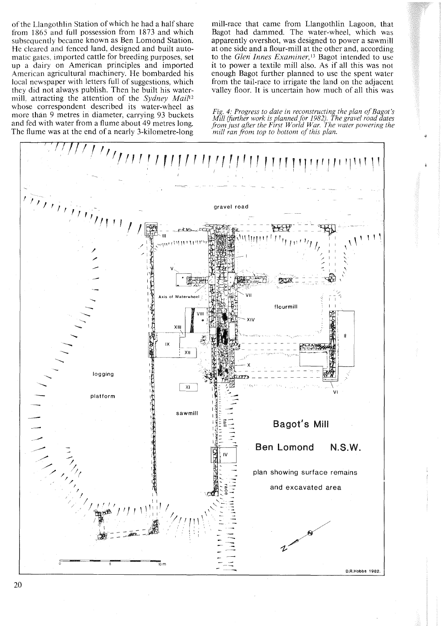of the Llangothlin Station of which he had a half share from 1865 and full possession from 1873 and which subsequently became known as Ben Lomond Station. He cleared and fenced land, designed and built automatic gates, imported cattle for breeding purposes, set up a dairy on American principles and imported American agricultural machinery. He bombarded his local newspaper with letters full of suggestions, which they did not always publish. Then he built his watermill, attracting the attention of the *Sydney Mail'?* whose correspondent described its water-wheel as more than 9 metres in diameter, carrying 93 buckets and fed with water from a flume about 49 metres long. The flume was at the end of a nearly 3-kilometre-Iong

mill-race that came from Llangothlin Lagoon, that Bagot had dammed. The water-wheel, which was apparently overshot, was designed to power a sawmill at one side and a flour-mill at the other and, according to the *Glen Innes Examiner*,<sup>13</sup> Bagot intended to use it to power a textile mill also. As if all this was not enough Bagot further planned to use the spent water from the tail-race to irrigate the land on the adjacent valley floor. It is uncertain how much of all this was

*Fig. 4: Progress to date in reconstructing the plan of Bagot's Mill (further work is plannedfor* 1982). *The gravel road dates from just after the First World War. The water powering the mill ran from top to bottom of this plan.*